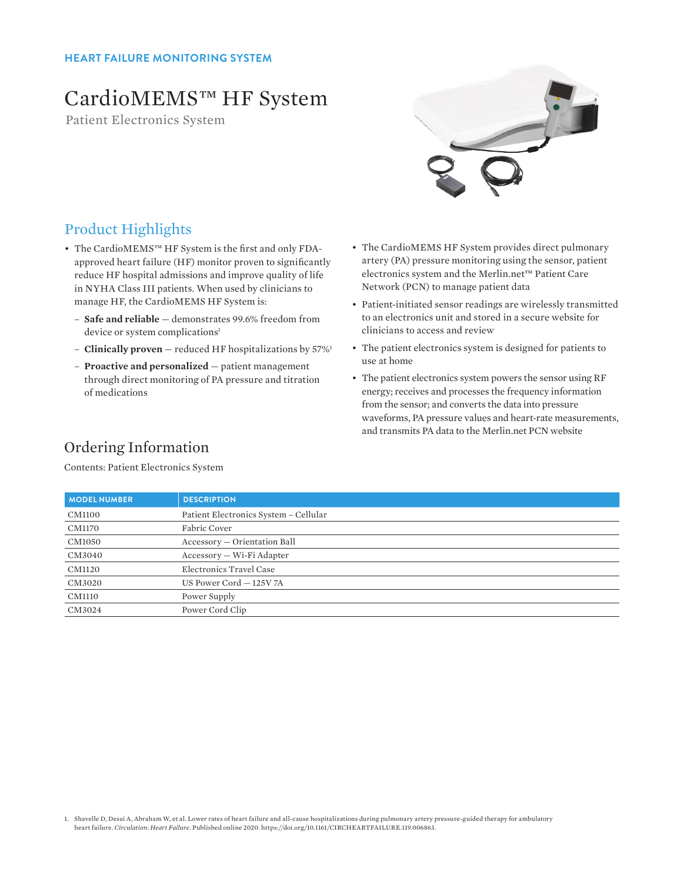# CardioMEMS™ HF System

Patient Electronics System



### Product Highlights

- The CardioMEMS™ HF System is the first and only FDAapproved heart failure (HF) monitor proven to significantly reduce HF hospital admissions and improve quality of life in NYHA Class III patients. When used by clinicians to manage HF, the CardioMEMS HF System is:
	- **Safe and reliable** demonstrates 99.6% freedom from device or system complications<sup>1</sup>
	- **Clinically proven** reduced HF hospitalizations by 57%1
	- **Proactive and personalized** patient management through direct monitoring of PA pressure and titration of medications
- The CardioMEMS HF System provides direct pulmonary artery (PA) pressure monitoring using the sensor, patient electronics system and the Merlin.net™ Patient Care Network (PCN) to manage patient data
- Patient-initiated sensor readings are wirelessly transmitted to an electronics unit and stored in a secure website for clinicians to access and review
- The patient electronics system is designed for patients to use at home
- The patient electronics system powers the sensor using RF energy; receives and processes the frequency information from the sensor; and converts the data into pressure waveforms, PA pressure values and heart-rate measurements, and transmits PA data to the Merlin.net PCN website

## Ordering Information

Contents: Patient Electronics System

| <b>MODEL NUMBER</b> | <b>DESCRIPTION</b>                    |
|---------------------|---------------------------------------|
| CM1100              | Patient Electronics System - Cellular |
| <b>CM1170</b>       | Fabric Cover                          |
| CM1050              | Accessory - Orientation Ball          |
| CM3040              | Accessory - Wi-Fi Adapter             |
| CM1120              | Electronics Travel Case               |
| CM3020              | US Power Cord - 125V 7A               |
| <b>CM1110</b>       | Power Supply                          |
| CM3024              | Power Cord Clip                       |